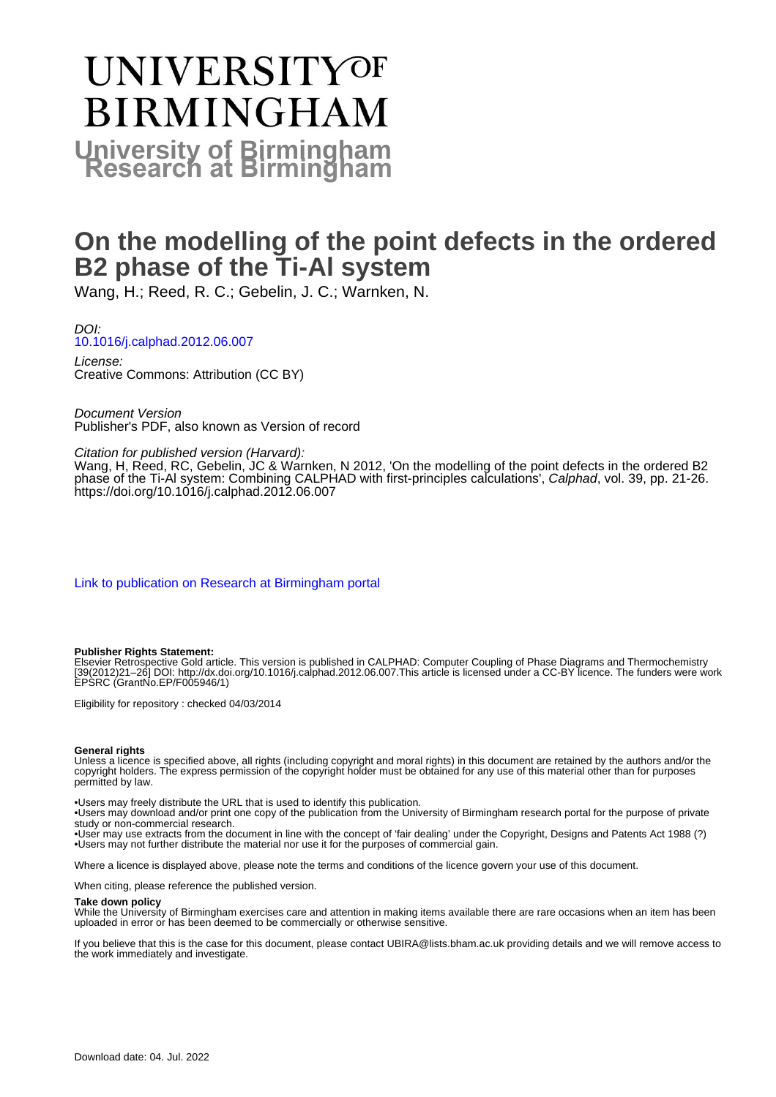# **UNIVERSITYOF BIRMINGHAM University of Birmingham**

## **On the modelling of the point defects in the ordered B2 phase of the Ti-Al system**

Wang, H.; Reed, R. C.; Gebelin, J. C.; Warnken, N.

DOI: [10.1016/j.calphad.2012.06.007](https://doi.org/10.1016/j.calphad.2012.06.007)

License: Creative Commons: Attribution (CC BY)

Document Version Publisher's PDF, also known as Version of record

Citation for published version (Harvard):

Wang, H, Reed, RC, Gebelin, JC & Warnken, N 2012, 'On the modelling of the point defects in the ordered B2 phase of the Ti-Al system: Combining CALPHAD with first-principles calculations', Calphad, vol. 39, pp. 21-26. <https://doi.org/10.1016/j.calphad.2012.06.007>

[Link to publication on Research at Birmingham portal](https://birmingham.elsevierpure.com/en/publications/8d22935c-ae02-4b9c-a1f0-7054b43b4432)

#### **Publisher Rights Statement:**

Elsevier Retrospective Gold article. This version is published in CALPHAD: Computer Coupling of Phase Diagrams and Thermochemistry [39(2012)21–26] DOI: http://dx.doi.org/10.1016/j.calphad.2012.06.007.This article is licensed under a CC-BY licence. The funders were work EPSRC (GrantNo.EP/F005946/1)

Eligibility for repository : checked 04/03/2014

#### **General rights**

Unless a licence is specified above, all rights (including copyright and moral rights) in this document are retained by the authors and/or the copyright holders. The express permission of the copyright holder must be obtained for any use of this material other than for purposes permitted by law.

• Users may freely distribute the URL that is used to identify this publication.

• Users may download and/or print one copy of the publication from the University of Birmingham research portal for the purpose of private study or non-commercial research.

• User may use extracts from the document in line with the concept of 'fair dealing' under the Copyright, Designs and Patents Act 1988 (?) • Users may not further distribute the material nor use it for the purposes of commercial gain.

Where a licence is displayed above, please note the terms and conditions of the licence govern your use of this document.

When citing, please reference the published version.

#### **Take down policy**

While the University of Birmingham exercises care and attention in making items available there are rare occasions when an item has been uploaded in error or has been deemed to be commercially or otherwise sensitive.

If you believe that this is the case for this document, please contact UBIRA@lists.bham.ac.uk providing details and we will remove access to the work immediately and investigate.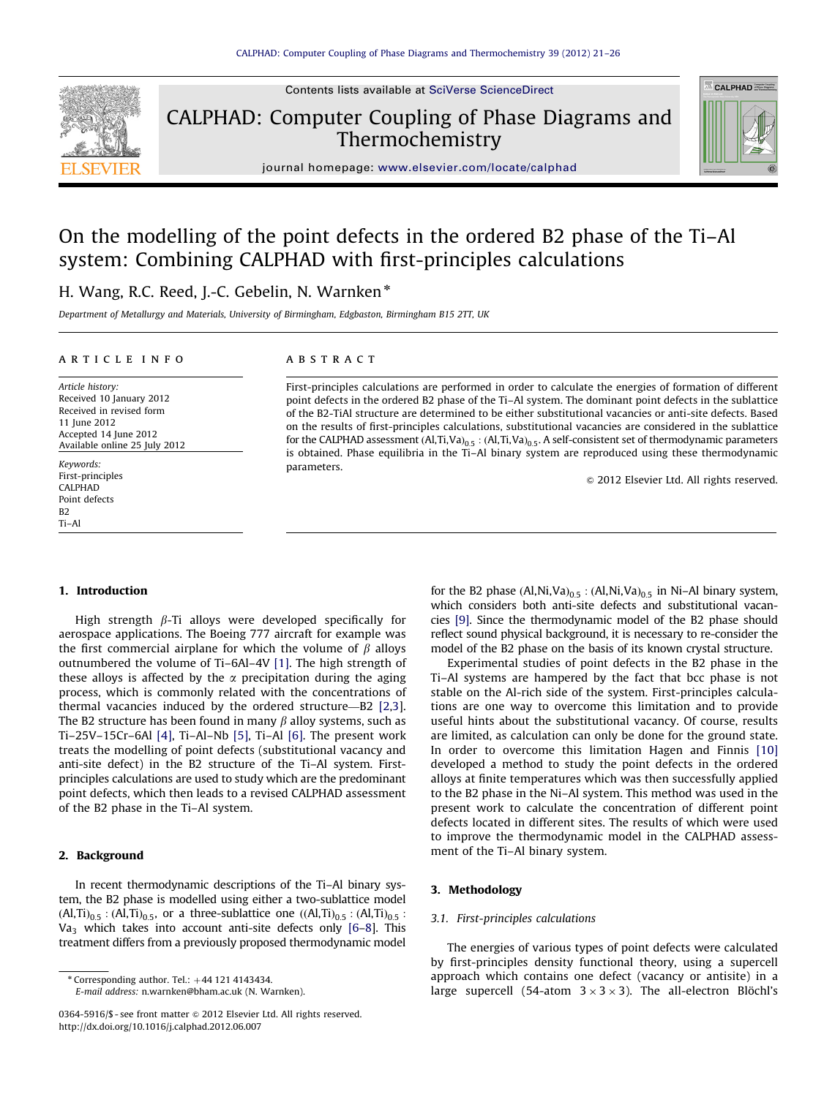

Contents lists available at [SciVerse ScienceDirect](www.elsevier.com/locate/calphad)

CALPHAD: Computer Coupling of Phase Diagrams and Thermochemistry



journal homepage: <www.elsevier.com/locate/calphad>

### On the modelling of the point defects in the ordered B2 phase of the Ti–Al system: Combining CALPHAD with first-principles calculations

#### H. Wang, R.C. Reed, J.-C. Gebelin, N. Warnken\*

Department of Metallurgy and Materials, University of Birmingham, Edgbaston, Birmingham B15 2TT, UK

#### article info

Article history: Received 10 January 2012 Received in revised form 11 June 2012 Accepted 14 June 2012 Available online 25 July 2012

Keywords: First-principles CALPHAD Point defects B2 Ti–Al

#### ABSTRACT

First-principles calculations are performed in order to calculate the energies of formation of different point defects in the ordered B2 phase of the Ti–Al system. The dominant point defects in the sublattice of the B2-TiAl structure are determined to be either substitutional vacancies or anti-site defects. Based on the results of first-principles calculations, substitutional vacancies are considered in the sublattice for the CALPHAD assessment  $(AI, Ti, Va)_{0.5} : (AI, Ti, Va)_{0.5}$ . A self-consistent set of thermodynamic parameters is obtained. Phase equilibria in the Ti–Al binary system are reproduced using these thermodynamic parameters.

 $\odot$  2012 Elsevier Ltd. All rights reserved.

#### 1. Introduction

High strength  $\beta$ -Ti alloys were developed specifically for aerospace applications. The Boeing 777 aircraft for example was the first commercial airplane for which the volume of  $\beta$  alloys outnumbered the volume of Ti–6Al–4V [\[1\]](#page-6-0). The high strength of these alloys is affected by the  $\alpha$  precipitation during the aging process, which is commonly related with the concentrations of thermal vacancies induced by the ordered structure—B2 [\[2,3\]](#page-6-0). The B2 structure has been found in many  $\beta$  alloy systems, such as Ti–25V–15Cr–6Al [\[4\]](#page-6-0), Ti–Al–Nb [\[5\],](#page-6-0) Ti–Al [\[6\]](#page-6-0). The present work treats the modelling of point defects (substitutional vacancy and anti-site defect) in the B2 structure of the Ti–Al system. Firstprinciples calculations are used to study which are the predominant point defects, which then leads to a revised CALPHAD assessment of the B2 phase in the Ti–Al system.

#### 2. Background

In recent thermodynamic descriptions of the Ti–Al binary system, the B2 phase is modelled using either a two-sublattice model  $(AI, Ti)_{0.5}$ :  $(AI, Ti)_{0.5}$ , or a three-sublattice one  $((AI, Ti)_{0.5}$ :  $(AI, Ti)_{0.5}$ :  $Va<sub>3</sub>$  which takes into account anti-site defects only [\[6–8\]](#page-6-0). This treatment differs from a previously proposed thermodynamic model

E-mail address: [n.warnken@bham.ac.uk \(N. Warnken\)](mailto:n.warnken@bham.ac.uk).

for the B2 phase  $(Al,Ni,Va)_{0.5}$ :  $(Al,Ni,Va)_{0.5}$  in Ni–Al binary system, which considers both anti-site defects and substitutional vacancies [\[9\]](#page-6-0). Since the thermodynamic model of the B2 phase should reflect sound physical background, it is necessary to re-consider the model of the B2 phase on the basis of its known crystal structure.

Experimental studies of point defects in the B2 phase in the Ti–Al systems are hampered by the fact that bcc phase is not stable on the Al-rich side of the system. First-principles calculations are one way to overcome this limitation and to provide useful hints about the substitutional vacancy. Of course, results are limited, as calculation can only be done for the ground state. In order to overcome this limitation Hagen and Finnis [\[10\]](#page-6-0) developed a method to study the point defects in the ordered alloys at finite temperatures which was then successfully applied to the B2 phase in the Ni–Al system. This method was used in the present work to calculate the concentration of different point defects located in different sites. The results of which were used to improve the thermodynamic model in the CALPHAD assessment of the Ti–Al binary system.

#### 3. Methodology

#### 3.1. First-principles calculations

The energies of various types of point defects were calculated by first-principles density functional theory, using a supercell approach which contains one defect (vacancy or antisite) in a large supercell (54-atom  $3 \times 3 \times 3$ ). The all-electron Blöchl's

 $*$  Corresponding author. Tel.:  $+44$  121 4143434.

<sup>0364-5916/\$ -</sup> see front matter  $\odot$  2012 Elsevier Ltd. All rights reserved. [http://dx.doi.org/10.1016/j.calphad.2012.06.007](dx.doi.org/10.1016/j.calphad.2012.06.007)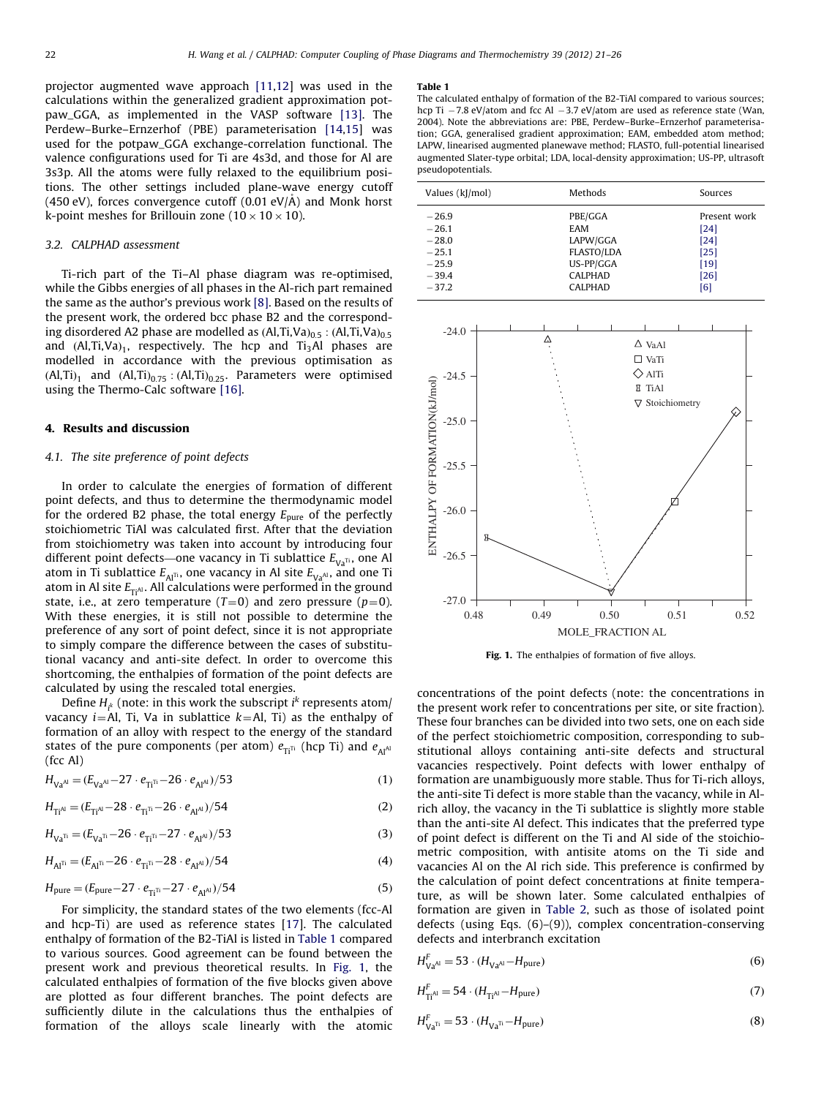projector augmented wave approach [\[11,12](#page-6-0)] was used in the calculations within the generalized gradient approximation potpaw\_GGA, as implemented in the VASP software [\[13\].](#page-6-0) The Perdew–Burke–Ernzerhof (PBE) parameterisation [\[14,15](#page-6-0)] was used for the potpaw\_GGA exchange-correlation functional. The valence configurations used for Ti are 4s3d, and those for Al are 3s3p. All the atoms were fully relaxed to the equilibrium positions. The other settings included plane-wave energy cutoff (450 eV), forces convergence cutoff  $(0.01 \text{ eV/A})$  and Monk horst k-point meshes for Brillouin zone (10  $\times$  10  $\times$  10).

#### 3.2. CALPHAD assessment

Ti-rich part of the Ti–Al phase diagram was re-optimised, while the Gibbs energies of all phases in the Al-rich part remained the same as the author's previous work [\[8\]](#page-6-0). Based on the results of the present work, the ordered bcc phase B2 and the corresponding disordered A2 phase are modelled as  $(Al, Ti, Va)_{0.5}$ :  $(Al, Ti, Va)_{0.5}$ and  $(Al, Ti, Va)<sub>1</sub>$ , respectively. The hcp and Ti<sub>3</sub>Al phases are modelled in accordance with the previous optimisation as  $(AI, Ti)<sub>1</sub>$  and  $(AI, Ti)<sub>0.75</sub>$ :  $(AI, Ti)<sub>0.25</sub>$ . Parameters were optimised using the Thermo-Calc software [\[16\].](#page-6-0)

#### 4. Results and discussion

#### 4.1. The site preference of point defects

In order to calculate the energies of formation of different point defects, and thus to determine the thermodynamic model for the ordered B2 phase, the total energy  $E_{\text{pure}}$  of the perfectly stoichiometric TiAl was calculated first. After that the deviation from stoichiometry was taken into account by introducing four different point defects—one vacancy in Ti sublattice  $E_{Va}$ <sup>n</sup>, one Al atom in Ti sublattice  $E_{\text{Al}}$ <sup> $\pi$ </sup>, one vacancy in Al site  $E_{\text{Va}}$ , and one Ti atom in Al site  $E_{\text{Ti}}$ <sup>A</sup>. All calculations were performed in the ground state, i.e., at zero temperature  $(T=0)$  and zero pressure  $(p=0)$ . With these energies, it is still not possible to determine the preference of any sort of point defect, since it is not appropriate to simply compare the difference between the cases of substitutional vacancy and anti-site defect. In order to overcome this shortcoming, the enthalpies of formation of the point defects are calculated by using the rescaled total energies.

Define  $H_{i^k}$  (note: in this work the subscript  $i^k$  represents atom/ vacancy *i*=Al, Ti, Va in sublattice  $k=$ Al, Ti) as the enthalpy of formation of an alloy with respect to the energy of the standard states of the pure components (per atom)  $e_{\overline{n}^{\text{th}}}$  (hcp Ti) and  $e_{\overline{A}^{\text{1}}$ (fcc Al)

$$
H_{\text{Va}^{Al}} = (E_{\text{Va}^{Al}} - 27 \cdot e_{\text{TI}^{T1}} - 26 \cdot e_{\text{Al}^{Al}})/53
$$
 (1)

$$
H_{\text{Ti}^{\text{Al}}} = (E_{\text{Ti}^{\text{Al}}}-28 \cdot e_{\text{Ti}^{\text{Ti}}}-26 \cdot e_{\text{Al}^{\text{Al}}})/54
$$
 (2)

$$
H_{\text{Va}^{\text{TI}}} = (E_{\text{Va}^{\text{TI}}}-26 \cdot e_{\text{TI}^{\text{TI}}}-27 \cdot e_{\text{Al}^{\text{Al}}})/53 \tag{3}
$$

$$
H_{\text{Al}^{\text{TI}}} = (E_{\text{Al}^{\text{TI}}} - 26 \cdot e_{\text{TI}^{\text{TI}}} - 28 \cdot e_{\text{Al}^{\text{Al}}})/54 \tag{4}
$$

$$
H_{\text{pure}} = (E_{\text{pure}} - 27 \cdot e_{\text{Ti}^{\text{T}}} - 27 \cdot e_{\text{Al}^{\text{Al}}})/54
$$
 (5)

For simplicity, the standard states of the two elements (fcc-Al and hcp-Ti) are used as reference states [[17](#page-6-0)]. The calculated enthalpy of formation of the B2-TiAl is listed in Table 1 compared to various sources. Good agreement can be found between the present work and previous theoretical results. In Fig. 1, the calculated enthalpies of formation of the five blocks given above are plotted as four different branches. The point defects are sufficiently dilute in the calculations thus the enthalpies of formation of the alloys scale linearly with the atomic

#### Table 1

The calculated enthalpy of formation of the B2-TiAl compared to various sources; hcp Ti  $-7.8$  eV/atom and fcc Al  $-3.7$  eV/atom are used as reference state (Wan, 2004). Note the abbreviations are: PBE, Perdew–Burke–Ernzerhof parameterisation; GGA, generalised gradient approximation; EAM, embedded atom method; LAPW, linearised augmented planewave method; FLASTO, full-potential linearised augmented Slater-type orbital; LDA, local-density approximation; US-PP, ultrasoft pseudopotentials.

| Values (kJ/mol) | Methods           | Sources      |
|-----------------|-------------------|--------------|
| $-26.9$         | PBE/GGA           | Present work |
| $-26.1$         | EAM               | [24]         |
| $-28.0$         | LAPW/GGA          | [24]         |
| $-25.1$         | <b>FLASTO/LDA</b> | [25]         |
| $-25.9$         | US-PP/GGA         | [19]         |
| $-39.4$         | <b>CALPHAD</b>    | $[26]$       |
| $-37.2$         | <b>CALPHAD</b>    | [6]          |



Fig. 1. The enthalpies of formation of five alloys.

concentrations of the point defects (note: the concentrations in the present work refer to concentrations per site, or site fraction). These four branches can be divided into two sets, one on each side of the perfect stoichiometric composition, corresponding to substitutional alloys containing anti-site defects and structural vacancies respectively. Point defects with lower enthalpy of formation are unambiguously more stable. Thus for Ti-rich alloys, the anti-site Ti defect is more stable than the vacancy, while in Alrich alloy, the vacancy in the Ti sublattice is slightly more stable than the anti-site Al defect. This indicates that the preferred type of point defect is different on the Ti and Al side of the stoichiometric composition, with antisite atoms on the Ti side and vacancies Al on the Al rich side. This preference is confirmed by the calculation of point defect concentrations at finite temperature, as will be shown later. Some calculated enthalpies of formation are given in [Table 2](#page-3-0), such as those of isolated point defects (using Eqs. (6)–(9)), complex concentration-conserving defects and interbranch excitation

$$
H_{\text{Va}^{\text{Al}}}^F = 53 \cdot (H_{\text{Va}^{\text{Al}}}-H_{\text{pure}}) \tag{6}
$$

$$
H_{\text{Ti}^{\text{Al}}}^{\text{F}} = 54 \cdot (H_{\text{Ti}^{\text{Al}}}-H_{\text{pure}}) \tag{7}
$$

$$
H_{\text{Va}^{\text{Ti}}}^{F} = 53 \cdot (H_{\text{Va}^{\text{Ti}}} - H_{\text{pure}}) \tag{8}
$$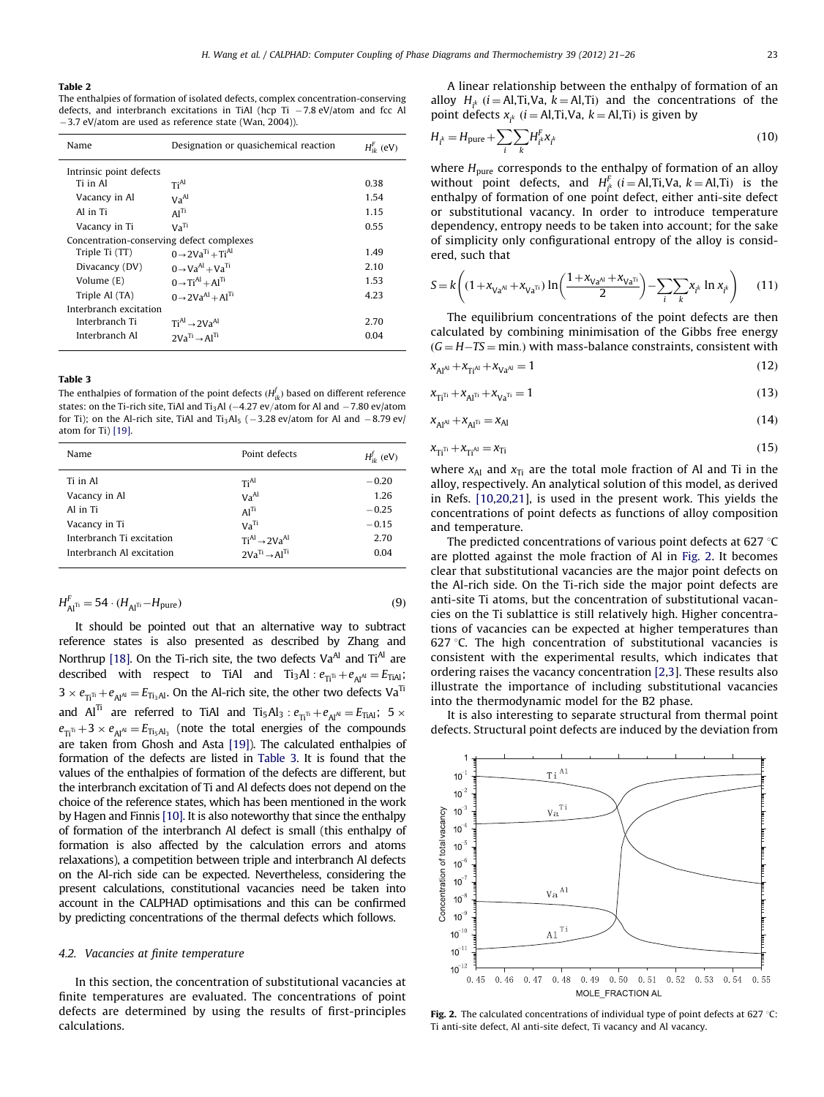#### <span id="page-3-0"></span>Table 2

The enthalpies of formation of isolated defects, complex concentration-conserving defects, and interbranch excitations in TiAl (hcp Ti  $-7.8$  eV/atom and fcc Al  $-3.7$  eV/atom are used as reference state (Wan, 2004)).

| Name                                      | Designation or quasichemical reaction | $H_{i\nu}^{\rm F}$ (eV) |  |
|-------------------------------------------|---------------------------------------|-------------------------|--|
| Intrinsic point defects                   |                                       |                         |  |
| Ti in Al                                  | Ti <sup>Al</sup>                      | 0.38                    |  |
| Vacancy in Al                             | Va <sup>Al</sup>                      | 1.54                    |  |
| Al in Ti                                  | Al <sup>Ti</sup>                      | 1.15                    |  |
| Vacancy in Ti                             | Va <sup>Ti</sup>                      | 0.55                    |  |
| Concentration-conserving defect complexes |                                       |                         |  |
| Triple Ti (TT)                            | $0 \rightarrow 2Va^{Ti} + Ti^{Al}$    | 1.49                    |  |
| Divacancy (DV)                            | $0 \rightarrow Va^{Al} + Va^{Ti}$     | 2.10                    |  |
| Volume (E)                                | $0 \rightarrow Ti^{Al} + Al^{Ti}$     | 1.53                    |  |
| Triple Al (TA)                            | $0 \rightarrow 2Va^{Al} + Al^{Ti}$    | 4.23                    |  |
| Interbranch excitation                    |                                       |                         |  |
| Interbranch Ti                            | $TiAl \rightarrow 2VaAl$              | 2.70                    |  |
| Interbranch Al                            | $2Va^{Ti} \rightarrow Al^{Ti}$        | 0.04                    |  |

#### Table 3

The enthalpies of formation of the point defects  $(H_{ik}^f)$  based on different reference states: on the Ti-rich site, TiAl and Ti<sub>3</sub>Al  $(-4.27 \text{ ev/atom}$  for Al and  $-7.80 \text{ ev/atom}$ for Ti); on the Al-rich site, TiAl and Ti<sub>3</sub>Al<sub>5</sub> ( $-3.28$  ev/atom for Al and  $-8.79$  ev/ atom for Ti) [\[19\]](#page-6-0).

| Name                      | Point defects                  | $H_{ik}^{f}$ (eV) |
|---------------------------|--------------------------------|-------------------|
| Ti in Al                  | TiAl                           | $-0.20$           |
| Vacancy in Al             | Va <sup>Al</sup>               | 1.26              |
| Al in Ti                  | Al <sup>Ti</sup>               | $-0.25$           |
| Vacancy in Ti             | Va <sup>Ti</sup>               | $-0.15$           |
| Interbranch Ti excitation | $TiAl \rightarrow 2VaAl$       | 2.70              |
| Interbranch Al excitation | $2Va^{Ti} \rightarrow Al^{Ti}$ | 0.04              |

$$
H_{\text{Al}^{\text{TI}}}^{\text{F}} = 54 \cdot (H_{\text{Al}^{\text{TI}}} - H_{\text{pure}}) \tag{9}
$$

It should be pointed out that an alternative way to subtract reference states is also presented as described by Zhang and Northrup [\[18\].](#page-6-0) On the Ti-rich site, the two defects  $Va^{Al}$  and  $Ti^{Al}$  are described with respect to TiAl and  $Ti_3AI : e_{Ti} + e_{AI} = E_{TiAI}$ ;  $3 \times e_{\Pi^{\Pi}} + e_{\rm Al} = E_{\Pi_3 {\rm Al}}.$  On the Al-rich site, the other two defects  ${\rm Va}^{\Pi_3}$ and  $Al^{Ti}$  are referred to TiAl and  $Ti_5Al_3$  :  $e_{Ti^{TI}}+e_{Al^{Al}}=E_{TiAl}$ ; 5  $\times$  $e_{\overline{11}} + 3 \times e_{\overline{11}} = E_{\overline{11}_5 \overline{1} \overline{1}_3}$  (note the total energies of the compounds are taken from Ghosh and Asta [\[19\]](#page-6-0)). The calculated enthalpies of formation of the defects are listed in Table 3. It is found that the values of the enthalpies of formation of the defects are different, but the interbranch excitation of Ti and Al defects does not depend on the choice of the reference states, which has been mentioned in the work by Hagen and Finnis [\[10\]](#page-6-0). It is also noteworthy that since the enthalpy of formation of the interbranch Al defect is small (this enthalpy of formation is also affected by the calculation errors and atoms relaxations), a competition between triple and interbranch Al defects on the Al-rich side can be expected. Nevertheless, considering the present calculations, constitutional vacancies need be taken into account in the CALPHAD optimisations and this can be confirmed by predicting concentrations of the thermal defects which follows.

#### 4.2. Vacancies at finite temperature

In this section, the concentration of substitutional vacancies at finite temperatures are evaluated. The concentrations of point defects are determined by using the results of first-principles calculations.

A linear relationship between the enthalpy of formation of an alloy  $H_{i^k}$  (*i* = Al,Ti,Va, *k* = Al,Ti) and the concentrations of the point defects  $x_{i^k}$  ( $i =$  Al,Ti,Va,  $k =$  Al,Ti) is given by

$$
H_{i^k} = H_{\text{pure}} + \sum_{i} \sum_{k} H_{i^k}^E x_{i^k}
$$
\n(10)

where  $H_{pure}$  corresponds to the enthalpy of formation of an alloy without point defects, and  $H_f^F$  (*i* = Al,Ti,Va, *k* = Al,Ti) is the enthalpy of formation of one point defect, either anti-site defect or substitutional vacancy. In order to introduce temperature dependency, entropy needs to be taken into account; for the sake of simplicity only configurational entropy of the alloy is considered, such that

$$
S = k \left( \left( 1 + x_{Va^{A1}} + x_{Va^{T1}} \right) \ln \left( \frac{1 + x_{Va^{A1}} + x_{Va^{T1}}}{2} \right) - \sum_{i} \sum_{k} x_{i^k} \ln x_{i^k} \right) \tag{11}
$$

The equilibrium concentrations of the point defects are then calculated by combining minimisation of the Gibbs free energy  $(G = H - TS = min.)$  with mass-balance constraints, consistent with

$$
x_{Al^{Al}} + x_{Ti^{Al}} + x_{Va^{Al}} = 1
$$
\n(12)

$$
x_{Ti^{Ti}} + x_{Al^{Ti}} + x_{Va^{Ti}} = 1
$$
\n(13)

$$
x_{Al^{Al}} + x_{Al^{Ti}} = x_{Al} \tag{14}
$$

$$
x_{\overline{\Pi}^{\overline{\Pi}}} + x_{\overline{\Pi}^{\text{Al}}} = x_{\overline{\Pi}} \tag{15}
$$

where  $x_{Al}$  and  $x_{Ti}$  are the total mole fraction of Al and Ti in the alloy, respectively. An analytical solution of this model, as derived in Refs. [\[10,20,21\]](#page-6-0), is used in the present work. This yields the concentrations of point defects as functions of alloy composition and temperature.

The predicted concentrations of various point defects at 627  $\degree$ C are plotted against the mole fraction of Al in Fig. 2. It becomes clear that substitutional vacancies are the major point defects on the Al-rich side. On the Ti-rich side the major point defects are anti-site Ti atoms, but the concentration of substitutional vacancies on the Ti sublattice is still relatively high. Higher concentrations of vacancies can be expected at higher temperatures than 627  $\degree$ C. The high concentration of substitutional vacancies is consistent with the experimental results, which indicates that ordering raises the vacancy concentration [\[2,3\]](#page-6-0). These results also illustrate the importance of including substitutional vacancies into the thermodynamic model for the B2 phase.

It is also interesting to separate structural from thermal point defects. Structural point defects are induced by the deviation from



Fig. 2. The calculated concentrations of individual type of point defects at 627 °C: Ti anti-site defect, Al anti-site defect, Ti vacancy and Al vacancy.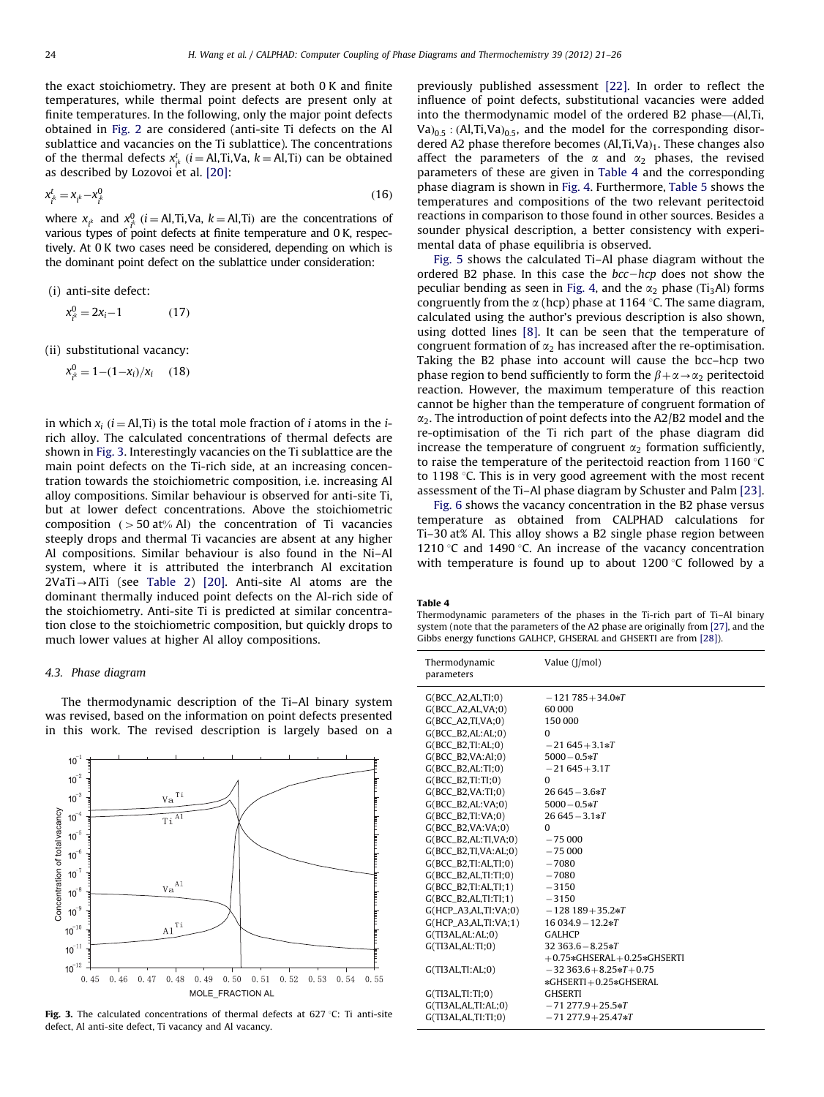the exact stoichiometry. They are present at both 0 K and finite temperatures, while thermal point defects are present only at finite temperatures. In the following, only the major point defects obtained in [Fig. 2](#page-3-0) are considered (anti-site Ti defects on the Al sublattice and vacancies on the Ti sublattice). The concentrations of the thermal defects  $x_{ik}^t$  ( $i = \text{Al},\text{Ti},\text{Va}, k = \text{Al},\text{Ti})$  can be obtained as described by Lozovoi et al.  $[20]$ :

$$
x_{i^k}^t = x_{i^k} - x_{i^k}^0 \tag{16}
$$

where  $x_{i^k}$  and  $x_{i^k}^0$  (*i* = Al,Ti,Va, *k* = Al,Ti) are the concentrations of various types of point defects at finite temperature and 0 K, respectively. At 0 K two cases need be considered, depending on which is the dominant point defect on the sublattice under consideration:

(i) anti-site defect:

$$
x_{i^k}^0 = 2x_i - 1 \tag{17}
$$

(ii) substitutional vacancy:

$$
x_{i^k}^0 = 1 - (1 - x_i)/x_i \quad (18)
$$

in which  $x_i$  (*i* = Al,Ti) is the total mole fraction of *i* atoms in the *i*rich alloy. The calculated concentrations of thermal defects are shown in Fig. 3. Interestingly vacancies on the Ti sublattice are the main point defects on the Ti-rich side, at an increasing concentration towards the stoichiometric composition, i.e. increasing Al alloy compositions. Similar behaviour is observed for anti-site Ti, but at lower defect concentrations. Above the stoichiometric composition ( $>$  50 at% Al) the concentration of Ti vacancies steeply drops and thermal Ti vacancies are absent at any higher Al compositions. Similar behaviour is also found in the Ni–Al system, where it is attributed the interbranch Al excitation  $2Vari \rightarrow AITi$  (see [Table 2\)](#page-3-0) [\[20\].](#page-6-0) Anti-site Al atoms are the dominant thermally induced point defects on the Al-rich side of the stoichiometry. Anti-site Ti is predicted at similar concentration close to the stoichiometric composition, but quickly drops to much lower values at higher Al alloy compositions.

#### 4.3. Phase diagram

The thermodynamic description of the Ti–Al binary system was revised, based on the information on point defects presented in this work. The revised description is largely based on a



Fig. 3. The calculated concentrations of thermal defects at 627 °C: Ti anti-site defect, Al anti-site defect, Ti vacancy and Al vacancy.

previously published assessment [\[22\]](#page-6-0). In order to reflect the influence of point defects, substitutional vacancies were added into the thermodynamic model of the ordered B2 phase-(Al,Ti, Va) $_{0.5}$ : (Al,Ti,Va) $_{0.5}$ , and the model for the corresponding disordered A2 phase therefore becomes  $(Al, Ti, Va)<sub>1</sub>$ . These changes also affect the parameters of the  $\alpha$  and  $\alpha_2$  phases, the revised parameters of these are given in Table 4 and the corresponding phase diagram is shown in [Fig. 4.](#page-5-0) Furthermore, [Table 5](#page-5-0) shows the temperatures and compositions of the two relevant peritectoid reactions in comparison to those found in other sources. Besides a sounder physical description, a better consistency with experimental data of phase equilibria is observed.

[Fig. 5](#page-5-0) shows the calculated Ti–Al phase diagram without the ordered B2 phase. In this case the  $bcc-hcp$  does not show the peculiar bending as seen in [Fig. 4,](#page-5-0) and the  $\alpha_2$  phase (Ti<sub>3</sub>Al) forms congruently from the  $\alpha$  (hcp) phase at 1164 °C. The same diagram, calculated using the author's previous description is also shown, using dotted lines [\[8\].](#page-6-0) It can be seen that the temperature of congruent formation of  $\alpha_2$  has increased after the re-optimisation. Taking the B2 phase into account will cause the bcc–hcp two phase region to bend sufficiently to form the  $\beta + \alpha \rightarrow \alpha_2$  peritectoid reaction. However, the maximum temperature of this reaction cannot be higher than the temperature of congruent formation of  $\alpha_2$ . The introduction of point defects into the A2/B2 model and the re-optimisation of the Ti rich part of the phase diagram did increase the temperature of congruent  $\alpha_2$  formation sufficiently, to raise the temperature of the peritectoid reaction from 1160  $°C$ to 1198  $\degree$ C. This is in very good agreement with the most recent assessment of the Ti–Al phase diagram by Schuster and Palm [\[23\].](#page-6-0)

[Fig. 6](#page-5-0) shows the vacancy concentration in the B2 phase versus temperature as obtained from CALPHAD calculations for Ti–30 at% Al. This alloy shows a B2 single phase region between 1210 °C and 1490 °C. An increase of the vacancy concentration with temperature is found up to about  $1200$  °C followed by a

#### Table 4

Thermodynamic parameters of the phases in the Ti-rich part of Ti–Al binary system (note that the parameters of the A2 phase are originally from [\[27\]](#page-6-0), and the Gibbs energy functions GALHCP, GHSERAL and GHSERTI are from [\[28\]\)](#page-6-0).

| Thermodynamic<br>parameters | Value (J/mol)                     |
|-----------------------------|-----------------------------------|
| G(BCC A2.AL.TI:0)           | $-121785+34.0*T$                  |
| $G(BCC_A2,AL, VA; 0)$       | 60 000                            |
| $G(BCC_A2, TI, VA; 0)$      | 150 000                           |
| $G(BCC_B2,AL;AL;0)$         | $\Omega$                          |
| $G(BCC_B2, TI; AL; 0)$      | $-21645+3.1*T$                    |
| $G(BCC_B2,VA;A1;0)$         | $5000 - 0.5 * T$                  |
| $G(BCC_B2,AL;TI;0)$         | $-21645 + 3.1T$                   |
| $G(BCC_B2, TI;TI;0)$        | $\Omega$                          |
| $G(BCC_B2,VA;TI;0)$         | $26645 - 3.6*T$                   |
| $G(BCC_B2,AL; VA; 0)$       | $5000 - 0.5*T$                    |
| $G(BCC_B2, TI:VA; 0)$       | $26645 - 3.1 \cdot T$             |
| $G(BCC_B2,VA;VA;0)$         | $\Omega$                          |
| $G(BCC_B2,AL;TI,VA;0)$      | $-75000$                          |
| $G(BCC_B2, TI, VA; AL; 0)$  | $-75000$                          |
| G(BCC B2.TI:AL.TI:0)        | $-7080$                           |
| $G(BCC_B2,AL,TI;TI;0)$      | $-7080$                           |
| $G(BCC_B2, TI; AL, TI; 1)$  | $-3150$                           |
| $G(BCC_B2,AL,TI;TI;1)$      | $-3150$                           |
| $G(HCP_A3,AL,TI:VA;0)$      | $-128189+35.2*T$                  |
| $G(HCP_A3,AL,TI;VA;1)$      | $16034.9 - 12.2*T$                |
| G(TISAL, AL; AL; 0)         | <b>GALHCP</b>                     |
| G(TISAL,AL;TI;0)            | $32363.6 - 8.25 \cdot T$          |
|                             | $+0.75*$ GHSERAL $+0.25*$ GHSERTI |
| G(TISAL, TI:AL;0)           | $-32363.6 + 8.25 * T + 0.75$      |
|                             | *GHSERTI+0.25*GHSERAL             |
| G(TISAL, TI;TI;0)           | <b>GHSERTI</b>                    |
| G(TISAL,AL,TI;AL;0)         | $-71277.9 + 25.5 \ast T$          |
| G(TISAL,AL,TI;TI;0)         | $-71277.9 + 25.47*T$              |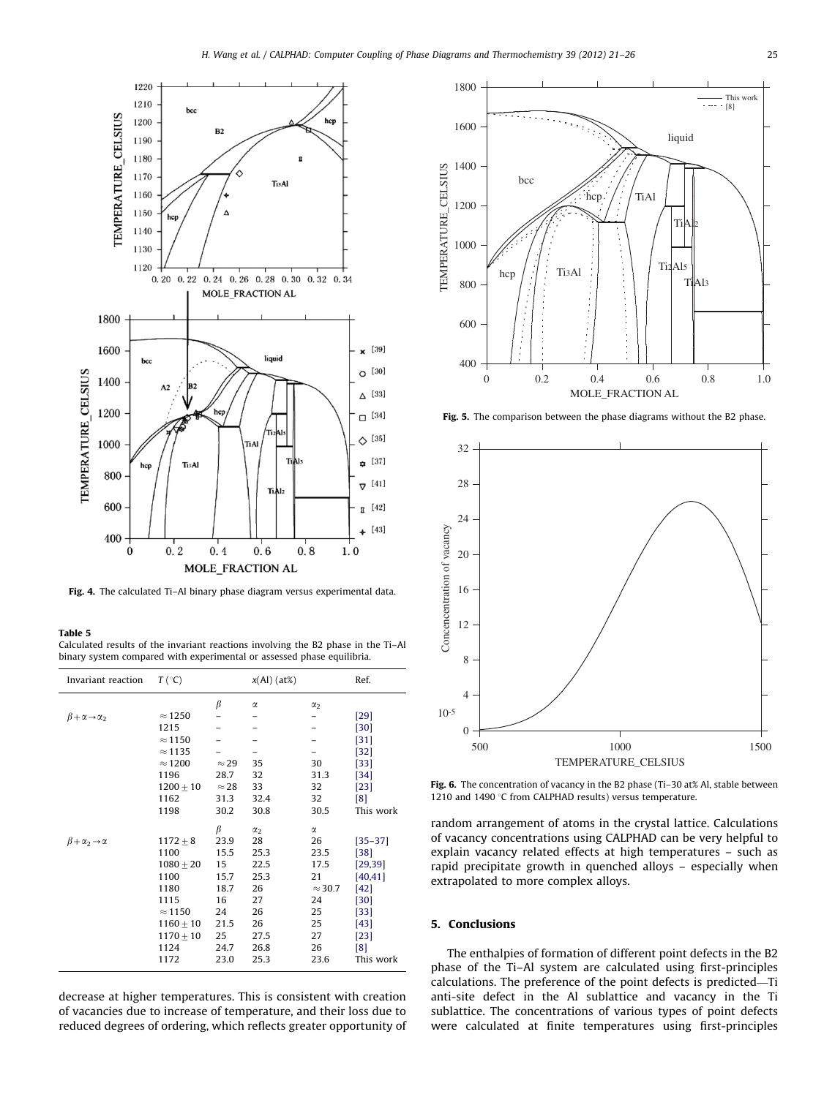<span id="page-5-0"></span>

Fig. 4. The calculated Ti-Al binary phase diagram versus experimental data.

#### Table 5

Calculated results of the invariant reactions involving the B2 phase in the Ti–Al binary system compared with experimental or assessed phase equilibria.

| Invariant reaction                    | $T({}^{\circ}C)$                                                                                                              |                                                                                   | $x(Al)(at\%)$                                                                              |                                                                                       | Ref.                                                                                                          |
|---------------------------------------|-------------------------------------------------------------------------------------------------------------------------------|-----------------------------------------------------------------------------------|--------------------------------------------------------------------------------------------|---------------------------------------------------------------------------------------|---------------------------------------------------------------------------------------------------------------|
| $\beta + \alpha \rightarrow \alpha_2$ | $\approx$ 1250<br>1215<br>$\approx$ 1150<br>$\approx$ 1135<br>$\approx$ 1200<br>1196<br>$1200 + 10$<br>1162<br>1198           | β<br>$\approx$ 29<br>28.7<br>$\approx$ 28<br>31.3<br>30.2                         | α<br>35<br>32<br>33<br>32.4<br>30.8                                                        | $\alpha_{2}$<br>30<br>31.3<br>32<br>32<br>30.5                                        | $[29]$<br>[30]<br>$[31]$<br>$[32]$<br>$[33]$<br>$[34]$<br>$[23]$<br>[8]<br>This work                          |
| $\beta + \alpha_2 \rightarrow \alpha$ | $1172 \pm 8$<br>1100<br>$1080 + 20$<br>1100<br>1180<br>1115<br>$\approx$ 1150<br>$1160 \pm 10$<br>$1170 + 10$<br>1124<br>1172 | β<br>23.9<br>15.5<br>15<br>15.7<br>18.7<br>16<br>24<br>21.5<br>25<br>24.7<br>23.0 | $\alpha_{2}$<br>28<br>25.3<br>22.5<br>25.3<br>26<br>27<br>26<br>26<br>27.5<br>26.8<br>25.3 | α<br>26<br>23.5<br>17.5<br>21<br>$\approx$ 30.7<br>24<br>25<br>25<br>27<br>26<br>23.6 | $[35 - 37]$<br>[38]<br>[29, 39]<br>[40, 41]<br>$[42]$<br>[30]<br>$[33]$<br>$[43]$<br>[23]<br>[8]<br>This work |

decrease at higher temperatures. This is consistent with creation of vacancies due to increase of temperature, and their loss due to reduced degrees of ordering, which reflects greater opportunity of



Fig. 5. The comparison between the phase diagrams without the B2 phase.



Fig. 6. The concentration of vacancy in the B2 phase (Ti–30 at% Al, stable between 1210 and 1490  $\degree$ C from CALPHAD results) versus temperature.

random arrangement of atoms in the crystal lattice. Calculations of vacancy concentrations using CALPHAD can be very helpful to explain vacancy related effects at high temperatures – such as rapid precipitate growth in quenched alloys – especially when extrapolated to more complex alloys.

#### 5. Conclusions

The enthalpies of formation of different point defects in the B2 phase of the Ti–Al system are calculated using first-principles calculations. The preference of the point defects is predicted—Ti anti-site defect in the Al sublattice and vacancy in the Ti sublattice. The concentrations of various types of point defects were calculated at finite temperatures using first-principles